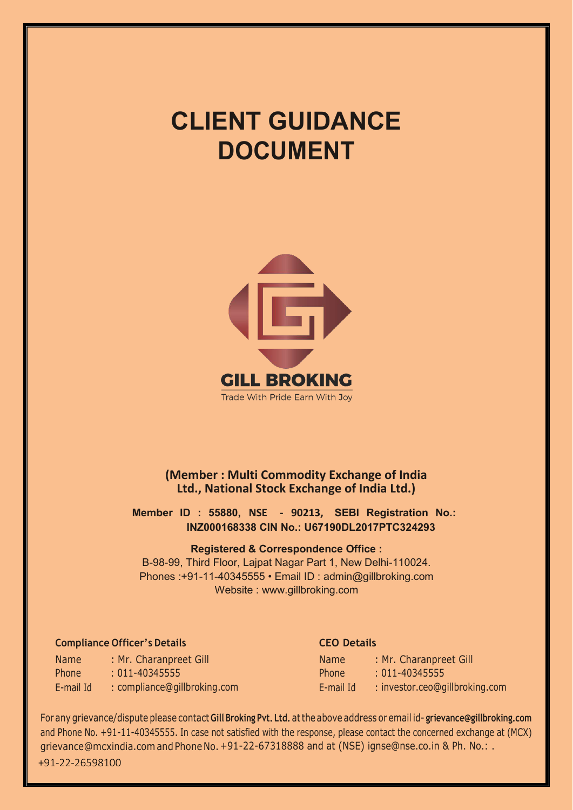# **CLIENT GUIDANCE DOCUMENT**



**(Member : Multi Commodity Exchange of India Ltd., National Stock Exchange of India Ltd.)**

**Member ID : 55880, NSE - 90213, SEBI Registration No.: INZ000168338 CIN No.: U67190DL2017PTC324293**

#### **Registered & Correspondence Office :**

B-98-99, Third Floor, Lajpat Nagar Part 1, New Delhi-110024. Phones :+91-11-40345555 • Email ID : [admin@gillbroking.com](mailto:admin@gillbroking.com)  Website : [www.gillbroking.com](http://www.gillbroking.com/)

# **Compliance Officer's Details CEO Details**

Name Phone E-mail Id : [compliance@gillbroking.com](mailto:compliance@gillbroking.com) : Mr. Charanpreet Gill : 011-40345555

| <b>Name</b>  | : Mr. Charanpreet Gill         |
|--------------|--------------------------------|
| <b>Phone</b> | $: 011 - 40345555$             |
| E-mail Id    | : investor.ceo@gillbroking.com |

For any grievance/dispute please contact **Gill Broking Pvt. Ltd.** at the above address or email id- **[grievance@gillbroking.com](mailto:grievance@gillbroking.com)**  and Phone No. +91-11-40345555. In case not satisfied with the response, please contact the concerned exchange at (MCX) [grievance@mcxindia.com a](mailto:grievance@mcxindia.com)nd Phone No. +91-22-67318888 and at (NSE) ignse@nse.co.in & Ph. No.: .

+91-22-26598100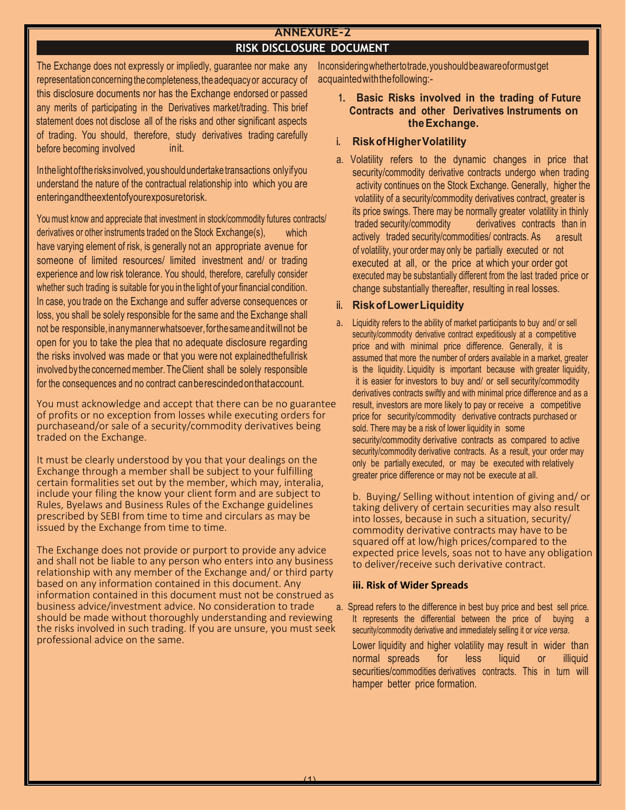# **ANNEXURE-2 RISK DISCLOSURE DOCUMENT**

The Exchange does not expressly or impliedly, guarantee nor make any representation concerning the completeness, the adequacy or accuracy of init. this disclosure documents nor has the Exchange endorsed or passed any merits of participating in the Derivatives market/trading. This brief statement does not disclose all of the risks and other significant aspects of trading. You should, therefore, study derivatives trading carefully before becoming involved

In the light of the risks involved, you should undertake transactions only if you understand the nature of the contractual relationship into which you are entering and the extent of your exposure to risk.

which have varying element of risk, is generally not an appropriate avenue for someone of limited resources/ limited investment and/ or trading experience and low risk tolerance. You should, therefore, carefully consider whether such trading is suitable for you in the light of your financial condition. In case, you trade on the Exchange and suffer adverse consequences or loss, you shall be solely responsible for the same and the Exchange shall not be responsible, in any manner whatsoever, for the same andit will not be open for you to take the plea that no adequate disclosure regarding the risks involved was made or that you were not explained the full risk involved by the concerned member. The Client shall be solely responsible for the consequences and no contract canbe rescinded on that account. You must know and appreciate that investment in stock/commodity futures contracts/ derivatives or other instruments traded on the Stock Exchange(s),

You must acknowledge and accept that there can be no guarantee of profits or no exception from losses while executing orders for purchaseand/or sale of a security/commodity derivatives being traded on the Exchange.

It must be clearly understood by you that your dealings on the Exchange through a member shall be subject to your fulfilling certain formalities set out by the member, which may, interalia, include your filing the know your client form and are subject to Rules, Byelaws and Business Rules of the Exchange guidelines prescribed by SEBI from time to time and circulars as may be issued by the Exchange from time to time.

The Exchange does not provide or purport to provide any advice and shall not be liable to any person who enters into any business relationship with any member of the Exchange and/ or third party based on any information contained in this document. Any information contained in this document must not be construed as business advice/investment advice. No consideration to trade should be made without thoroughly understanding and reviewing the risks involved in such trading. If you are unsure, you must seek professional advice on the same.

In considering whether to trade, you should be aware ofor must get acquainted with the following:-

#### **the Exchange. 1. Basic Risks involved in the trading of Future Contracts and other Derivatives Instruments on**

# **i. Risk of Higher Volatility**

a result of volatility, your order may only be partially executed or not executed at all, or the price at which your order got executed may be substantially different from the last traded price or change substantially thereafter, resulting in real losses. a. Volatility refers to the dynamic changes in price that security/commodity derivative contracts undergo when trading activity continues on the Stock Exchange. Generally, higher the volatility of a security/commodity derivatives contract, greater is its price swings. There may be normally greater volatility in thinly traded security/commodity derivatives contracts than in actively traded security/commodities/ contracts. As

#### **ii. Risk of Lower Liquidity**

a. Liquidity refers to the ability of market participants to buy and/ or sell security/commodity derivative contract expeditiously at a competitive price and with minimal price difference. Generally, it is assumed that more the number of orders available in a market, greater is the liquidity. Liquidity is important because with greater liquidity, it is easier for investors to buy and/ or sell security/commodity derivatives contracts swiftly and with minimal price difference and as a result, investors are more likely to pay or receive a competitive price for security/commodity derivative contracts purchased or sold. There may be a risk of lower liquidity in some security/commodity derivative contracts as compared to active security/commodity derivative contracts. As a result, your order may only be partially executed, or may be executed with relatively greater price difference or may not be execute at all.

b. Buying/ Selling without intention of giving and/ or taking delivery of certain securities may also result into losses, because in such a situation, security/ commodity derivative contracts may have to be squared off at low/high prices/compared to the expected price levels, soas not to have any obligation to deliver/receive such derivative contract.

#### **iii. Risk of Wider Spreads**

a. Spread refers to the difference in best buy price and best sell price. It represents the differential between the price of buying a security/commodity derivative and immediately selling it or *vice versa*.

Lower liquidity and higher volatility may result in wider than normal spreads for less liquid or illiquid securities/commodities derivatives contracts. This in turn will hamper better price formation.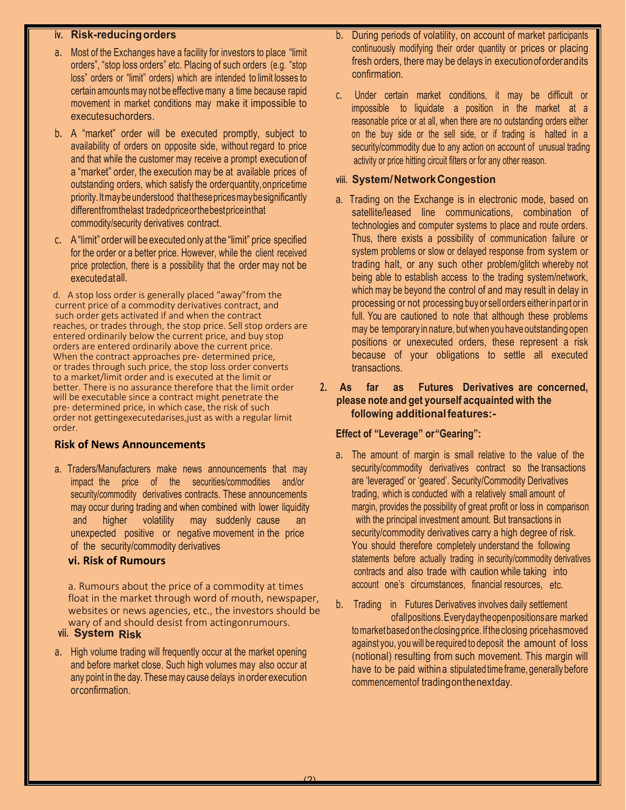### **iv. Risk-reducing orders**

- a. Most of the Exchanges have a facility for investors to place "limit orders" , "stop loss orders" etc. Placing of such orders (e.g. "stop loss" orders or "limit" orders) which are intended to limit losses to certain amounts may not be effective many a time because rapid movement in market conditions may make it impossible to execute such orders.
- b. A "market" order will be executed promptly, subject to availability of orders on opposite side, without regard to price and that while the customer may receive a prompt execution of a "market" order, the execution may be at available prices of outstanding orders, which satisfy the order quantity, on price time priority. It may be understood that these prices may be significantly different from the last traded price or the best price in that commodity/security derivatives contract.
- c. A "limit" order will be executed only at the "limit" price specified for the order or a better price. However, while the client received price protection, there is a possibility that the order may not be executed at all.

d. A stop loss order is generally placed "away"from the current price of a commodity derivatives contract, and such order gets activated if and when the contract reaches, or trades through, the stop price. Sell stop orders are entered ordinarily below the current price, and buy stop orders are entered ordinarily above the current price. When the contract approaches pre- determined price, or trades through such price, the stop loss order converts to a market/limit order and is executed at the limit or better. There is no assurance therefore that the limit order will be executable since a contract might penetrate the pre- determined price, in which case, the risk of such order not gettingexecutedarises,just as with a regular limit order.

#### **Risk of News Announcements**

a. Traders/Manufacturers make news announcements that may impact the price of the securities/commodities and/or security/commodity derivatives contracts. These announcements may occur during trading and when combined with lower liquidity and higher volatility may suddenly cause an unexpected positive or negative movement in the price of the security/commodity derivatives

#### **vi. Risk of Rumours**

a. Rumours about the price of a commodity at times float in the market through word of mouth, newspaper, websites or news agencies, etc., the investors should be wary of and should desist from actingonrumours.

#### vii. System Risk

a. High volume trading will frequently occur at the market opening and before market close. Such high volumes may also occur at any point in the day. These may cause delays in order execution or confirmation.

- b. During periods of volatility, on account of market participants continuously modifying their order quantity or prices or placing fresh orders, there may be delays in execution of order and its confirmation.
- c. Under certain market conditions, it may be difficult or impossible to liquidate a position in the market at a reasonable price or at all, when there are no outstanding orders either on the buy side or the sell side, or if trading is halted in a security/commodity due to any action on account of unusual trading activity or price hitting circuit filters or for any other reason.

#### **viii. System/ Network Congestion**

- a. Trading on the Exchange is in electronic mode, based on satellite/leased line communications, combination of technologies and computer systems to place and route orders. Thus, there exists a possibility of communication failure or system problems or slow or delayed response from system or trading halt, or any such other problem/glitch whereby not being able to establish access to the trading system/network, which may be beyond the control of and may result in delay in processing or not processing buy or sell orders either in partor in full. You are cautioned to note that although these problems may be temporary in nature, but when you have outstanding open positions or unexecuted orders, these represent a risk because of your obligations to settle all executed transactions.
- **following additional features:- 2. As far as Futures Derivatives are concerned, please note and get yourself acquainted with the**

#### **Effect of "Leverage" or"Gearing":**

- account one's circumstances, financial resources, etc. a. The amount of margin is small relative to the value of the security/commodity derivatives contract so the transactions are 'leveraged' or 'geared'. Security/Commodity Derivatives trading, which is conducted with a relatively small amount of margin, provides the possibility of great profit or loss in comparison with the principal investment amount. But transactions in security/commodity derivatives carry a high degree of risk. You should therefore completely understand the following statements before actually trading in security/commodity derivatives contracts and also trade with caution while taking into
- of all positions. Every day the open positions are marked on the closing price. If the closing price has moved have to be paid withina stipulated time frame, generally before commencement of trading on the next day. against you, you will be required to deposit the amount of loss (notional) resulting from such movement. This margin will b. Trading in Futures Derivatives involves daily settlement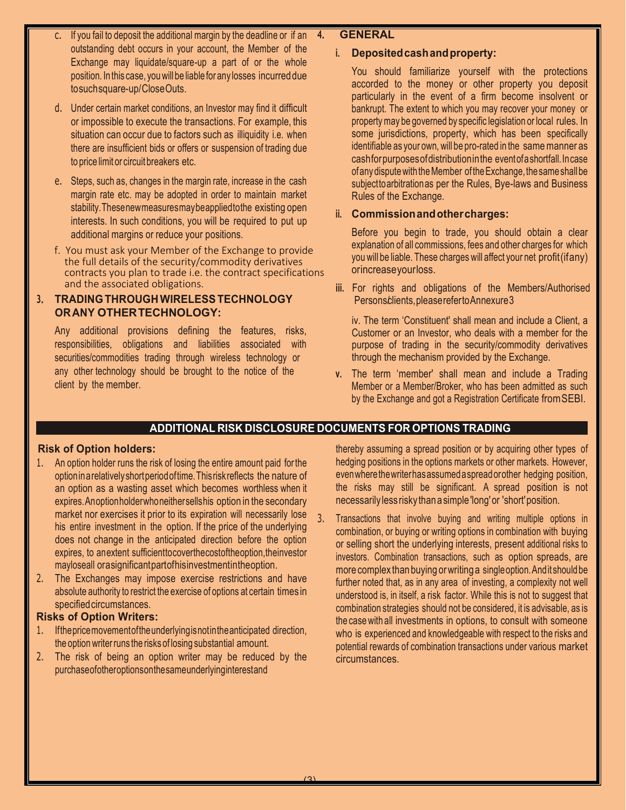- If you fail to deposit the additional margin by the deadline or if an outstanding debt occurs in your account, the Member of the Exchange may liquidate/square-up a part of or the whole position. In this case, you will be liable for any losses incurred due to such square-up/ Close Outs.
- d. Under certain market conditions, an Investor may find it difficult or impossible to execute the transactions. For example, this situation can occur due to factors such as illiquidity i.e. when there are insufficient bids or offers or suspension of trading due to price limit or circuit breakers etc.
- e. Steps, such as, changes in the margin rate, increase in the cash margin rate etc. may be adopted in order to maintain market stability. These new measures may be applied to the existing open interests. In such conditions, you will be required to put up additional margins or reduce your positions.
- f. You must ask your Member of the Exchange to provide the full details of the security/commodity derivatives contracts you plan to trade i.e. the contract specifications and the associated obligations.

# **3. TRADING THROUGH WIRELESS TECHNOLOGY ORANY OTHER TECHNOLOGY:**

Any additional provisions defining the features, risks, responsibilities, obligations and liabilities associated with securities/commodities trading through wireless technology or any other technology should be brought to the notice of the client by the member.

# **4. GENERAL**

### **i. Deposited cash and property:**

You should familiarize yourself with the protections accorded to the money or other property you deposit particularly in the event of a firm become insolvent or bankrupt. The extent to which you may recover your money or property may be governed by specific legislation or local rules. In some jurisdictions, property, which has been specifically identifiable as your own, will be pro-rated in the same manner as cash for purposes of distribution in the event of a shortfall. In case ofany dispute with the Member of the Exchange, the same shall be subject to arbitration as per the Rules, Bye-laws and Business Rules of the Exchange.

# **ii. Commission and other charges:**

Before you begin to trade, you should obtain a clear explanation of all commissions, fees and other charges for which you will be liable. These charges will affect your net profit (if any) orincrease yourloss.

Persons clients, please refer to Annexure 3 **iii.** For rights and obligations of the Members/Authorised

iv. The term 'Constituent' shall mean and include a Client, a Customer or an Investor, who deals with a member for the purpose of trading in the security/commodity derivatives through the mechanism provided by the Exchange.

**v.** The term 'member' shall mean and include a Trading Member or a Member/Broker, who has been admitted as such by the Exchange and got a Registration Certificate from SEBI.

# **ADDITIONAL RISK DISCLOSURE DOCUMENTS FOR OPTIONS TRADING**

# **Risk of Option holders:**

- 1. An option holder runs the risk of losing the entire amount paid for the option in a relatively short period of time. This risk reflects the nature of an option as a wasting asset which becomes worthless when it expires. An option holder who neither sells his option in the secondary market nor exercises it prior to its expiration will necessarily lose his entire investment in the option. If the price of the underlying does not change in the anticipated direction before the option expires, to an extent sufficient to cover the cost of the option, the investor may lose all or a significant part of his investment in the option.
- 2. The Exchanges may impose exercise restrictions and have absolute authority to restrict the exercise of options at certain times in specified circumstances.

# **Risks of Option Writers:**

- 1. If the price movement of the underlying is not in the anticipated direction, the option writer runs the risks of losing substantial amount.
- 2. The risk of being an option writer may be reduced by the purchase of other options on the same underlying interestand

thereby assuming a spread position or by acquiring other types of hedging positions in the options markets or other markets. However, even where the writer has assumed a spread or other hedging position, the risks may still be significant. A spread position is not necessarily less risky than a simple 'long' or 'short' position.

3. Transactions that involve buying and writing multiple options in combination, or buying or writing options in combination with buying or selling short the underlying interests, present additional risks to investors. Combination transactions, such as option spreads, are more complex than buying or writing a single option. And it should be further noted that, as in any area of investing, a complexity not well understood is, in itself, a risk factor. While this is not to suggest that combination strategies should not be considered, it is advisable, as is the case with all investments in options, to consult with someone who is experienced and knowledgeable with respect to the risks and potential rewards of combination transactions under various market circumstances.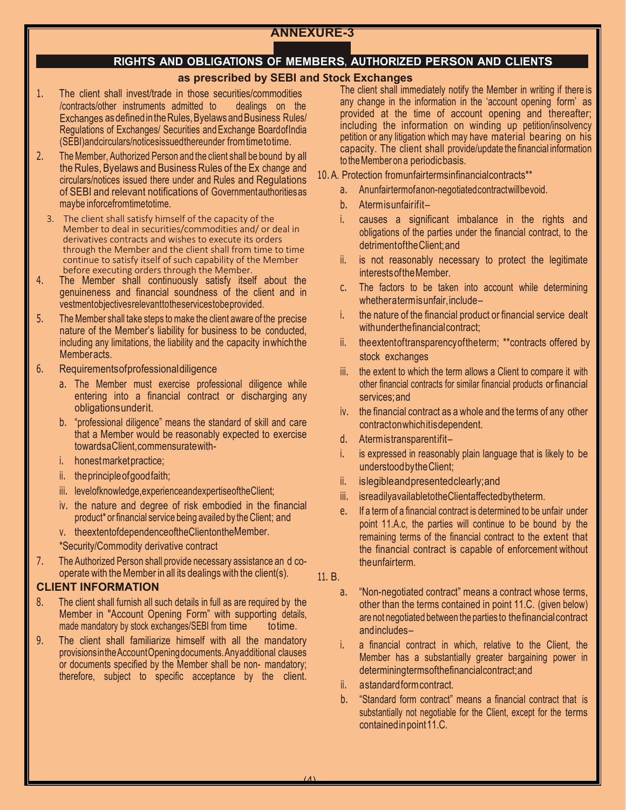# **ANNEXURE-3**

# **RIGHTS AND OBLIGATIONS OF MEMBERS, AUTHORIZED PERSON AND CLIENTS**

# **as prescribed by SEBI and Stock Exchanges**

- Exchanges as defined in the Rules, Byelaws and Business Rules/ Regulations of Exchanges/ Securities and Exchange Board of India (SEBI) and circulars/notices issued there under from time to time. 1. The client shall invest/trade in those securities/commodities /contracts/other instruments admitted to dealings on the
- 2. The Member, Authorized Person and the client shall be bound by all the Rules, Byelaws and Business Rules of the Ex change and circulars/notices issued there under and Rules and Regulations of SEBI and relevant notifications of Government authorities as may be inforce from time to time.
	- 3. The client shall satisfy himself of the capacity of the Member to deal in securities/commodities and/ or deal in derivatives contracts and wishes to execute its orders through the Member and the client shall from time to time continue to satisfy itself of such capability of the Member before executing orders through the Member.
- 4. The Member shall continuously satisfy itself about the genuineness and financial soundness of the client and in vestment objectives relevant to the services to be provided.
- 5. The Member shall take steps to make the client aware of the precise nature of the Member's liability for business to be conducted, including any limitations, the liability and the capacity in which the Memberacts.
- 6. Requirements of professional diligence
	- a. The Member must exercise professional diligence while entering into a financial contract or discharging any obligations under it.
	- b. "professional diligence" means the standard of skill and care that a Member would be reasonably expected to exercise towards a Client, commensurate with-
	- i. honest market practice;
	- ii. the principle of good faith;
	- iii. level of knowledge, experience and expertise of the Client;
	- iv. the nature and degree of risk embodied in the financial product\* or financial service being availed by the Client; and
	- v. theextentofdependenceoftheClientontheMember.
	- \*Security/Commodity derivative contract
- 7. The Authorized Person shall provide necessary assistance an d cooperate with the Member in all its dealings with the client(s).

#### **CLIENT INFORMATION**

- to time. 8. The client shall furnish all such details in full as are required by the Member in "Account Opening Form" with supporting details, made mandatory by stock exchanges/SEBI from time
- 9. The client shall familiarize himself with all the mandatory provisions in the Account Opening documents. Any additional clauses or documents specified by the Member shall be non- mandatory; therefore, subject to specific acceptance by the client.

The client shall immediately notify the Member in writing if there is any change in the information in the 'account opening form' as provided at the time of account opening and thereafter; including the information on winding up petition/insolvency petition or any litigation which may have material bearing on his capacity. The client shall provide/update the financial information to the Member on a periodic basis.

- 10. A. Protection from unfair terms infinancial contracts\*\*
	- a. An unfair term of a non-negotiated contract will be void.
	- b. Atermis unfair if it -
	- i. causes a significant imbalance in the rights and obligations of the parties under the financial contract, to the detriment ofthe Client; and
	- ii. is not reasonably necessary to protect the legitimate interests ofthe Member.
	- c. The factors to be taken into account while determining whether a term is unfair, include –
	- the nature of the financial product or financial service dealt with under the financial contract:
	- ii. the extent of transparency of the term; \*\* contracts offered by stock exchanges
	- other financial contracts for similar financial products or financial services; and iii. the extent to which the term allows a Client to compare it with
	- iv. the financial contract as a whole and the terms of any other contracton which it is dependent.
	- d. A term is transparent if it -
	- i. is expressed in reasonably plain language that is likely to be understood by the Client;
	- ii. is legible and presented clearly; and
	- iii. is readily available to the Client affected by the term.
	- e. If a term of a financial contract is determined to be unfair under point 11.A.c, the parties will continue to be bound by the remaining terms of the financial contract to the extent that the financial contract is capable of enforcement without the unfair term.
- 11. B.
	- a. "Non-negotiated contract" means a contract whose terms, other than the terms contained in point 11.C. (given below) are not negotiated between the parties to the financial contract and includes –
	- a financial contract in which, relative to the Client, the Member has a substantially greater bargaining power in determining terms of the financial contract; and
	- ii. a standard form contract.
	- b. "Standard form contract" means a financial contract that is substantially not negotiable for the Client, except for the terms contained in point 11.C.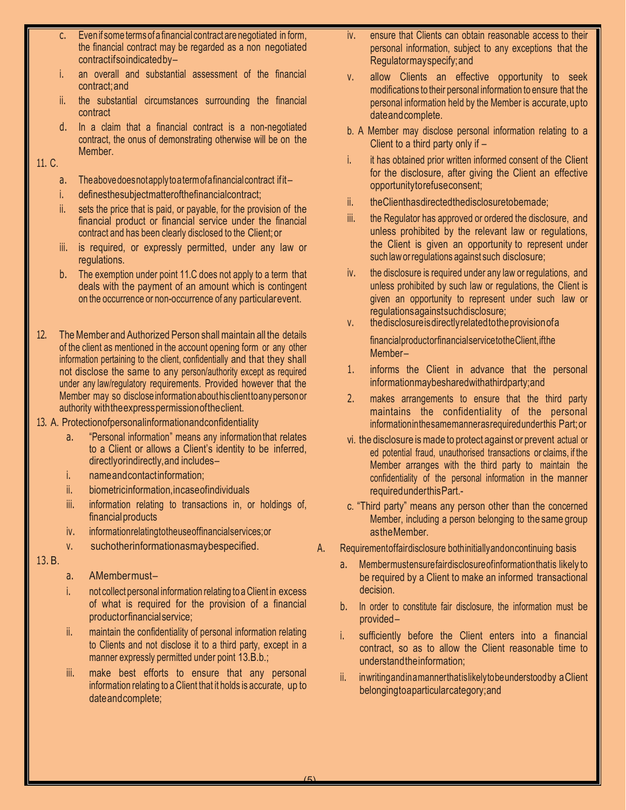- c. Even if some terms of a financial contract are negotiated in form, the financial contract may be regarded as a non negotiated contractifso indicated by-
- i. an overall and substantial assessment of the financial contract; and
- ii. the substantial circumstances surrounding the financial contract
- d. In a claim that a financial contract is a non-negotiated contract, the onus of demonstrating otherwise will be on the Member.

### 11. C.

- a. The above does not apply to a term of a financial contract if it -
- i. defines the subject matter of the financial contract;
- ii. sets the price that is paid, or payable, for the provision of the financial product or financial service under the financial contract and has been clearly disclosed to the Client; or
- iii. is required, or expressly permitted, under any law or regulations.
- b. The exemption under point 11.C does not apply to a term that deals with the payment of an amount which is contingent on the occurrence or non-occurrence of any particular event.
- 12. The Member and Authorized Person shall maintain all the details of the client as mentioned in the account opening form or any other information pertaining to the client, confidentially and that they shall not disclose the same to any person/authority except as required under any law/regulatory requirements. Provided however that the Member may so disclose information about his client to any person or authority with the express permission ofthe client.
- 13. A. Protection of personal information and confidentiality
	- a. "Personal information" means any information that relates to a Client or allows a Client's identity to be inferred, directly or indirectly, and includes -
	- i. name and contact information:
	- ii. biometric information, in case of individuals
	- iii. information relating to transactions in, or holdings of, financial products
	- iv. information relating to the use of financial services; or
	- v. such other information as may be specified.
- 13. B.
- a. AMembermust-
- i. not collect personal information relating to a Client in excess of what is required for the provision of a financial product or financial service;
- ii. maintain the confidentiality of personal information relating to Clients and not disclose it to a third party, except in a manner expressly permitted under point 13.B.b.;
- iii. make best efforts to ensure that any personal information relating to a Client that it holds is accurate, up to date and complete;
- iv. ensure that Clients can obtain reasonable access to their personal information, subject to any exceptions that the Regulator may specify; and
- v. allow Clients an effective opportunity to seek modifications to their personal information to ensure that the personal information held by the Member is accurate, upto date and complete.
- b. A Member may disclose personal information relating to a Client to a third party only if –
- i. it has obtained prior written informed consent of the Client for the disclosure, after giving the Client an effective opportunity to refuse consent;
- ii. the Client has directed the disclosure to be made;
- iii. the Regulator has approved or ordered the disclosure, and unless prohibited by the relevant law or regulations, the Client is given an opportunity to represent under such law or regulations against such disclosure;
- iv. the disclosure is required under any law or regulations, and unless prohibited by such law or regulations, the Client is given an opportunity to represent under such law or regulations against such disclosure;
- v. the disclosure is directly related to the provision of a financial product or financial service to the Client, if the Member-
- 1. informs the Client in advance that the personal information may be shared with a third party; and
- 2. makes arrangements to ensure that the third party maintains the confidentiality of the personal information in the same manner as required under this Part; or
- vi. the disclosure is made to protect against or prevent actual or ed potential fraud, unauthorised transactions or claims, if the Member arranges with the third party to maintain the confidentiality of the personal information in the manner required under this Part.-
- c. "Third party" means any person other than the concerned Member, including a person belonging to the same group asthe Member.
- A. Requirement of fair disclosure both initially and one continuing basis
	- a. Member must ensure fair disclosure of information that is likely to be required by a Client to make an informed transactional decision.
	- b. In order to constitute fair disclosure, the information must be provided –
	- i. sufficiently before the Client enters into a financial contract, so as to allow the Client reasonable time to understand the information;
	- ii. in writing and in a manner that is likely to be understood by a Client belonging to a particular category; and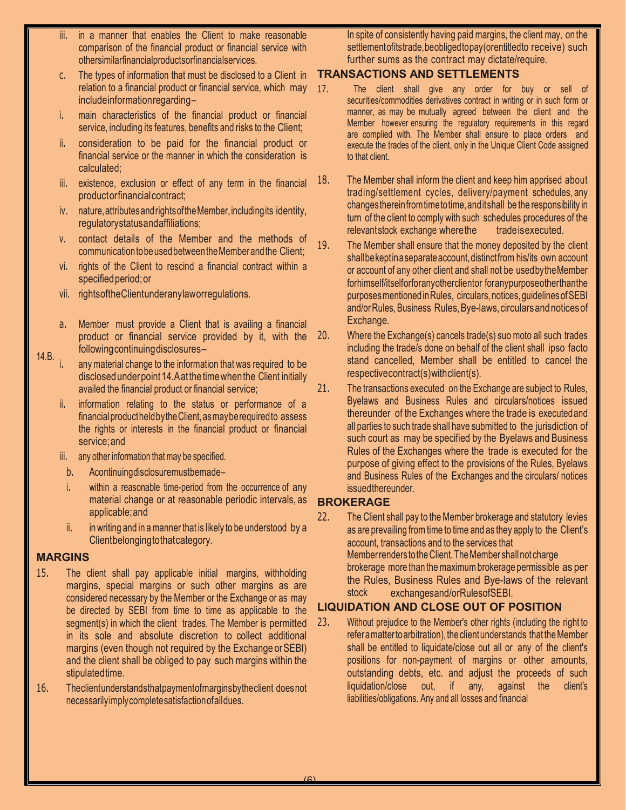- iii. in a manner that enables the Client to make reasonable comparison of the financial product or financial service with other similar financial products or financial services.
- c. The types of information that must be disclosed to a Client in relation to a financial product or financial service, which may include information regarding –
- i. main characteristics of the financial product or financial service, including its features, benefits and risks to the Client;
- ii. consideration to be paid for the financial product or financial service or the manner in which the consideration is calculated;
- iii. existence, exclusion or effect of any term in the financial product or financial contract;
- iv. nature, attributes and rights of the Member, including its identity, regulatory status and affiliations;
- v. contact details of the Member and the methods of communication tobe used between the Member and the Client;
- vi. rights of the Client to rescind a financial contract within a specified period; or
- vii. rights of the Client under any law or regulations.
- a. Member must provide a Client that is availing a financial product or financial service provided by it, with the following continuing disclosures –
- 14.B. any material change to the information that was required to be disclosed under point 14.A atthe time when the Client initially availed the financial product or financial service;
	- information relating to the status or performance of a financial product held by the Client, as may be required to assess the rights or interests in the financial product or financial service; and
	- iii. any other information that may be specified.
	- b. Acontinuing disclosure must be made-
	- i. within a reasonable time-period from the occurrence of any material change or at reasonable periodic intervals, as applicable; and
	- ii. in writing and in a manner that is likely to be understood by a Client belonging to that category.

# **MARGINS**

- 15. The client shall pay applicable initial margins, withholding margins, special margins or such other margins as are considered necessary by the Member or the Exchange or as may be directed by SEBI from time to time as applicable to the segment(s) in which the client trades. The Member is permitted in its sole and absolute discretion to collect additional margins (even though not required by the Exchange or SEBI) and the client shall be obliged to pay such margins within the stipulated time.
- 16. The client understands that payment of margins by the client does not necessarily imply complete satisfaction of all dues.

In spite of consistently having paid margins, the client may, on the settlement of its trade, be obliged to pay (or entitled to receive) such further sums as the contract may dictate/require.

# **TRANSACTIONS AND SETTLEMENTS**

- 17. The client shall give any order for buy or sell of securities/commodities derivatives contract in writing or in such form or manner, as may be mutually agreed between the client and the Member however ensuring the regulatory requirements in this regard are complied with. The Member shall ensure to place orders and execute the trades of the client, only in the Unique Client Code assigned to that client.
- 18. The Member shall inform the client and keep him apprised about trading/settlement cycles, delivery/payment schedules, any changes therein from time to time, and it shall be the responsibility in trade is executed. relevant stock exchange where the turn of the client to comply with such schedules procedures of the
- 19. The Member shall ensure that the money deposited by the client shall be kept in a separate account, distinct from his/its own account or account of any other client and shall not be used by the Member for himself/itself or for any other client or for any purpose other than the purposes mentioned in Rules, circulars, notices, guidelines of SEBI and/or Rules, Business Rules, Bye-laws, circulars and notices of Exchange.
- 20. Where the Exchange(s) cancels trade(s) suo moto all such trades including the trade/s done on behalf of the client shall ipso facto stand cancelled, Member shall be entitled to cancel the respective contract(s) with client(s).
- 21. The transactions executed on the Exchange are subject to Rules, Byelaws and Business Rules and circulars/notices issued thereunder of the Exchanges where the trade is executed and all parties to such trade shall have submitted to the jurisdiction of such court as may be specified by the Byelaws and Business Rules of the Exchanges where the trade is executed for the purpose of giving effect to the provisions of the Rules, Byelaws and Business Rules of the Exchanges and the circulars/ notices issued thereunder.

# **BROKERAGE**

22. The Client shall pay to the Member brokerage and statutory levies Member renders to the Client. The Member shall not charge exchanges and/or Rules of SEBI. brokerage more than the maximum brokerage permissible as per the Rules, Business Rules and Bye-laws of the relevant stock as are prevailing from time to time and as they apply to the Client's account, transactions and to the services that

# **LIQUIDATION AND CLOSE OUT OF POSITION**

refer a matter to arbitration), the client understands that the Member shall be entitled to liquidate/close out all or any of the client's positions for non-payment of margins or other amounts, outstanding debts, etc. and adjust the proceeds of such liquidation/close out, if any, against the client's liabilities/obligations. Any and all losses and financial 23. Without prejudice to the Member's other rights (including the right to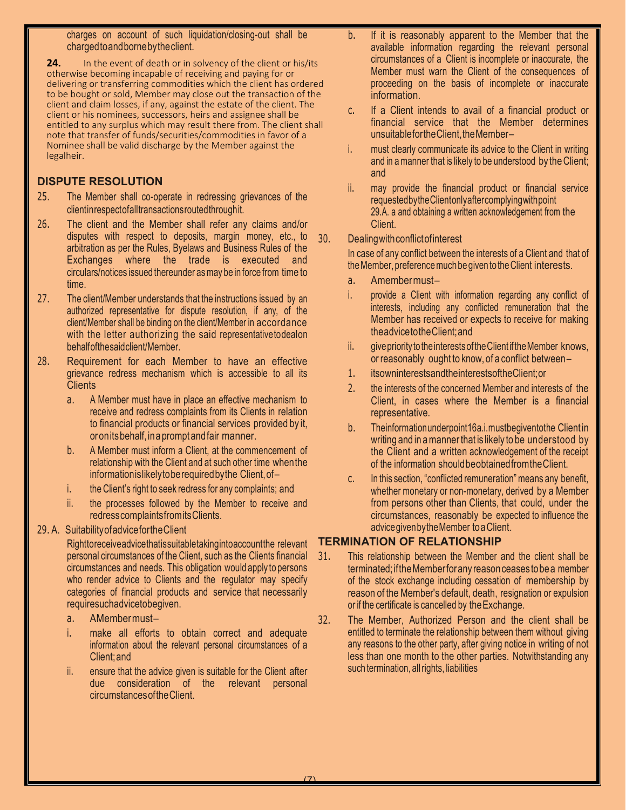charges on account of such liquidation/closing-out shall be charged toand borne bythe client.

**24.** In the event of death or in solvency of the client or his/its otherwise becoming incapable of receiving and paying for or delivering or transferring commodities which the client has ordered to be bought or sold, Member may close out the transaction of the client and claim losses, if any, against the estate of the client. The client or his nominees, successors, heirs and assignee shall be entitled to any surplus which may result there from. The client shall note that transfer of funds/securities/commodities in favor of a Nominee shall be valid discharge by the Member against the legalheir.

# **DISPUTE RESOLUTION**

- client in respect of all transactions routed through it. 25. The Member shall co-operate in redressing grievances of the
- 26. The client and the Member shall refer any claims and/or disputes with respect to deposits, margin money, etc., to arbitration as per the Rules, Byelaws and Business Rules of the Exchanges where the trade is executed and circulars/notices issued thereunder as may be in force from time to time.
- 27. The client/Member understands that the instructions issued by an authorized representative for dispute resolution, if any, of the client/Member shall be binding on the client/Member in accordance with the letter authorizing the said representative to deal on behalf of the said client/Member.
- 28. Requirement for each Member to have an effective grievance redress mechanism which is accessible to all its **Clients** 
	- a. A Member must have in place an effective mechanism to receive and redress complaints from its Clients in relation to financial products or financial services provided by it, oron its behalf, in a prompt and fair manner.
	- b. A Member must inform a Client, at the commencement of relationship with the Client and at such other time when the information is likely tobe required by the Client, of–
	- i. the Client's right to seek redress for any complaints; and
	- ii. the processes followed by the Member to receive and redress complaints from its Clients.

# 29. A. Suitability of advice forthe Client

Right to receive advice that is suitable taking into account the relevant personal circumstances of the Client, such as the Clients financial circumstances and needs. This obligation would apply to persons who render advice to Clients and the regulator may specify categories of financial products and service that necessarily require such advice to be given.

- a. AMembermust-
- i. make all efforts to obtain correct and adequate information about the relevant personal circumstances of a Client; and
- ii. ensure that the advice given is suitable for the Client after due consideration of the relevant personal circumstances ofthe Client.
- b. If it is reasonably apparent to the Member that the available information regarding the relevant personal circumstances of a Client is incomplete or inaccurate, the Member must warn the Client of the consequences of proceeding on the basis of incomplete or inaccurate information.
- c. If a Client intends to avail of a financial product or financial service that the Member determines unsuitable for the Client, the Member –
- i. must clearly communicate its advice to the Client in writing and in a manner that is likely to be understood by the Client; and
- ii. may provide the financial product or financial service requested by the Client only after complying with point 29.A. a and obtaining a written acknowledgement from the Client.

# 30. Dealing with conflict of interest

In case of any conflict between the interests of a Client and that of the Member, preference much be given to the Client interests.

- a. Amembermust-
- i. provide a Client with information regarding any conflict of interests, including any conflicted remuneration that the Member has received or expects to receive for making the advice tothe Client; and
- ii. give priority to the interests of the Client if the Member knows, or reasonably ought to know, of a conflict between –
- 1. its own interests and the interests ofthe Client; or
- 2. the interests of the concerned Member and interests of the Client, in cases where the Member is a financial representative.
- b. The information under point 16a.i. must be given to the Client in writing and in a manner that is likely to be understood by the Client and a written acknowledgement of the receipt of the information should be obtained from the Client.
- c. In this section, "conflicted remuneration" means any benefit, whether monetary or non-monetary, derived by a Member from persons other than Clients, that could, under the circumstances, reasonably be expected to influence the advice given by the Member to a Client.

# **TERMINATION OF RELATIONSHIP**

- 31. This relationship between the Member and the client shall be terminated; ifthe Member for any reason ceases to bea member of the stock exchange including cessation of membership by reason of the Member's default, death, resignation or expulsion or if the certificate is cancelled by the Exchange.
- 32. The Member, Authorized Person and the client shall be entitled to terminate the relationship between them without giving any reasons to the other party, after giving notice in writing of not less than one month to the other parties. Notwithstanding any such termination, all rights, liabilities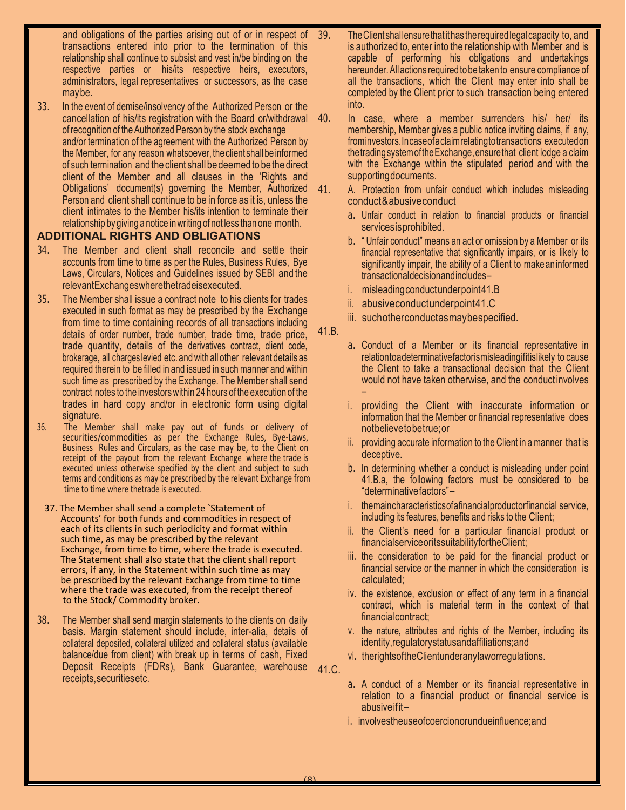and obligations of the parties arising out of or in respect of transactions entered into prior to the termination of this relationship shall continue to subsist and vest in/be binding on the respective parties or his/its respective heirs, executors, administrators, legal representatives or successors, as the case may be.

the Member, for any reason whatsoever, the client shall be informed of such termination and the client shall be deemed to be the direct client of the Member and all clauses in the 'Rights and Obligations' document(s) governing the Member, Authorized Person and client shall continue to be in force as it is, unless the client intimates to the Member his/its intention to terminate their relationship by giving a notice in writing of not less than one month. 33. In the event of demise/insolvency of the Authorized Person or the cancellation of his/its registration with the Board or/withdrawal of recognition of the Authorized Person by the stock exchange and/or termination of the agreement with the Authorized Person by

# **ADDITIONAL RIGHTS AND OBLIGATIONS**

- 34. The Member and client shall reconcile and settle their accounts from time to time as per the Rules, Business Rules, Bye Laws, Circulars, Notices and Guidelines issued by SEBI and the relevant Exchanges where the trade is executed.
- 35. The Member shall issue a contract note to his clients for trades executed in such format as may be prescribed by the Exchange from time to time containing records of all transactions including details of order number, trade number, trade time, trade price, trade quantity, details of the derivatives contract, client code, brokerage, all charges levied etc. and with all other relevant details as required therein to be filled in and issued in such manner and within such time as prescribed by the Exchange. The Member shall send contract notes to the investors within 24 hours of the execution of the trades in hard copy and/or in electronic form using digital signature.
- 36. The Member shall make pay out of funds or delivery of securities/commodities as per the Exchange Rules, Bye-Laws, Business Rules and Circulars, as the case may be, to the Client on receipt of the payout from the relevant Exchange where the trade is executed unless otherwise specified by the client and subject to such terms and conditions as may be prescribed by the relevant Exchange from time to time where thetrade is executed.
- 37. The Member shall send a complete `Statement of Accounts' for both funds and commodities in respect of each of its clients in such periodicity and format within such time, as may be prescribed by the relevant Exchange, from time to time, where the trade is executed. The Statement shall also state that the client shall report errors, if any, in the Statement within such time as may be prescribed by the relevant Exchange from time to time where the trade was executed, from the receipt thereof to the Stock/ Commodity broker.
- 38. The Member shall send margin statements to the clients on daily basis. Margin statement should include, inter-alia, details of collateral deposited, collateral utilized and collateral status (available balance/due from client) with break up in terms of cash, Fixed Deposit Receipts (FDRs), Bank Guarantee, warehouse receipts, securities etc.
- 39. The Client shall ensure that ithas the required legal capacity to, and is authorized to, enter into the relationship with Member and is capable of performing his obligations and undertakings hereunder. All actions required to be taken to ensure compliance of all the transactions, which the Client may enter into shall be completed by the Client prior to such transaction being entered into.
- 40. In case, where a member surrenders his/ her/ its membership, Member gives a public notice inviting claims, if any, from investors. In case of a claim relating to transactions executed on the trading system of the Exchange, ensure that client lodge a claim with the Exchange within the stipulated period and with the supporting documents.
	- A. Protection from unfair conduct which includes misleading conduct & abusive conduct
		- a. Unfair conduct in relation to financial products or financial services is prohibited.
		- b. " Unfair conduct" means an act or omission by a Member or its financial representative that significantly impairs, or is likely to significantly impair, the ability of a Client to make an informed transactional decision and includes –
		- i. misleading conduct under point 41.B
		- ii. abusive conductunder point 41.C
		- iii. such other conduct as may be specified.
- 41.B.
- a. Conduct of a Member or its financial representative in relation to a determinative factor is misleading if it is likely to cause the Client to take a transactional decision that the Client would not have taken otherwise, and the conduct involves –
- i. providing the Client with inaccurate information or information that the Member or financial representative does not believe tobe true; or
- ii. providing accurate information to the Client in a manner that is deceptive.
- b. In determining whether a conduct is misleading under point 41.B.a, the following factors must be considered to be "determinative factors" –
- i. the main characteristics of a financial product or financial service, including its features, benefits and risks to the Client;
- ii. the Client's need for a particular financial product or financial service or its suitability for the Client;
- iii. the consideration to be paid for the financial product or financial service or the manner in which the consideration is calculated;
- iv. the existence, exclusion or effect of any term in a financial contract, which is material term in the context of that financial contract;
- v. the nature, attributes and rights of the Member, including its identity, regulatory status and affiliations; and
- vi. the rights of the Client under any law or regulations.
- 41.C.
- a. A conduct of a Member or its financial representative in relation to a financial product or financial service is abusive ifit–
- i. involves the use of coercion or undue influence; and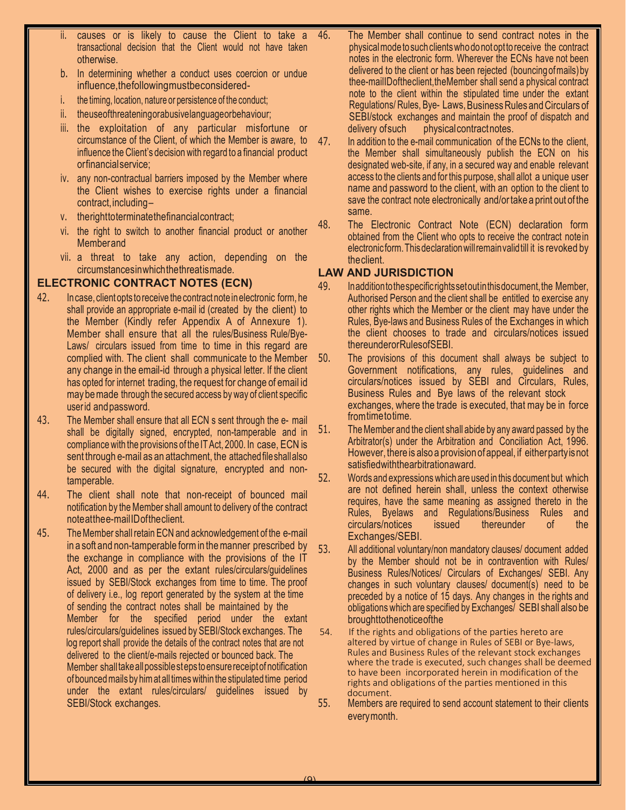- causes or is likely to cause the Client to take a transactional decision that the Client would not have taken otherwise.
- b. In determining whether a conduct uses coercion or undue influence, the following must be considered-
- i. the timing, location, nature or persistence of the conduct;
- ii. the use of threatening or abusive language or behaviour;
- iii. the exploitation of any particular misfortune or circumstance of the Client, of which the Member is aware, to influence the Client's decision with regard to a financial product or financial service;
- iv. any non-contractual barriers imposed by the Member where the Client wishes to exercise rights under a financial contract, including –
- v. the right to terminate the financial contract;
- vi. the right to switch to another financial product or another Member and
- vii. a threat to take any action, depending on the circumstances in which the threat is made.

# **ELECTRONIC CONTRACT NOTES (ECN)**

- 42. In case, client opts to receive the contract note in electronic form, he shall provide an appropriate e-mail id (created by the client) to the Member (Kindly refer Appendix A of Annexure 1). Member shall ensure that all the rules/Business Rule/Bye-Laws/ circulars issued from time to time in this regard are complied with. The client shall communicate to the Member any change in the email-id through a physical letter. If the client has opted for internet trading, the request for change of email id may be made through the secured access by way of client specific user id and password.
- 43. The Member shall ensure that all ECN s sent through the e- mail shall be digitally signed, encrypted, non-tamperable and in compliance with the provisions of the IT Act, 2000. In case, ECN is sent through e-mail as an attachment, the attached file shall also be secured with the digital signature, encrypted and nontamperable.
- 44. The client shall note that non-receipt of bounced mail notification by the Member shall amount to delivery of the contract note at the e-mail ID of the client.
- 45. The Member shall retain ECN and acknowledgement of the e-mail Member shall take all possible st eps to ensure receipt of notification  $\,$ of bounced mails by him at all times within the stipulated time period under the extant rules/circulars/ guidelines issued by SEBI/Stock exchanges. in a soft and non-tamperable form in the manner prescribed by the exchange in compliance with the provisions of the IT Act, 2000 and as per the extant rules/circulars/guidelines issued by SEBI/Stock exchanges from time to time. The proof of delivery i.e., log report generated by the system at the time of sending the contract notes shall be maintained by the Member for the specified period under the extant rules/circulars/guidelines issued by SEBI/Stock exchanges. The log report shall provide the details of the contract notes that are not delivered to the client/e-mails rejected or bounced back. The
- 46. The Member shall continue to send contract notes in the physical mode to such clients who donotoptto receive the contract notes in the electronic form. Wherever the ECNs have not been delivered to the client or has been rejected (bouncing of mails) by thee-mail ID of the client, the Member shall send a physical contract note to the client within the stipulated time under the extant Regulations/ Rules, Bye- Laws, Business Rules and Circulars of physical contract notes. SEBI/stock exchanges and maintain the proof of dispatch and delivery of such
- 47. In addition to the e-mail communication of the ECNs to the client, the Member shall simultaneously publish the ECN on his designated web-site, if any, in a secured way and enable relevant access to the clients and for this purpose, shall allot a unique user name and password to the client, with an option to the client to save the contract note electronically and/or take a print out of the same.
- 48. The Electronic Contract Note (ECN) declaration form obtained from the Client who opts to receive the contract note in electronic form. This declaration will remain valid till it is revoked by the client.

# **LAW AND JURISDICTION**

- 49. In addition to the specific rights set out in this document, the Member, Authorised Person and the client shall be entitled to exercise any other rights which the Member or the client may have under the Rules, Bye-laws and Business Rules of the Exchanges in which the client chooses to trade and circulars/notices issued thereunder or Rules of SEBI.
- 50. The provisions of this document shall always be subject to trom time to time. Government notifications, any rules, guidelines and circulars/notices issued by SEBI and Circulars, Rules, Business Rules and Bye laws of the relevant stock exchanges, where the trade is executed, that may be in force
- 51. The Member and the client shall abide by any award passed by the Arbitrator(s) under the Arbitration and Conciliation Act, 1996. However, there is also a provision of appeal, if either party isnot satisfied with the arbitration award.
- 52. Words and expressions which are used in this document but which are not defined herein shall, unless the context otherwise requires, have the same meaning as assigned thereto in the Rules, Byelaws and Regulations/Business Rules and circulars/notices issued thereunder of the circulars/notices issued thereunder of the Exchanges/SEBI.
- 53. All additional voluntary/non mandatory clauses/ document added by the Member should not be in contravention with Rules/ Business Rules/Notices/ Circulars of Exchanges/ SEBI. Any changes in such voluntary clauses/ document(s) need to be preceded by a notice of 15 days. Any changes in the rights and obligations which are specified by Exchanges/ SEBI shall also be brought to the notice of the
- 54. If the rights and obligations of the parties hereto are altered by virtue of change in Rules of SEBI or Bye-laws, Rules and Business Rules of the relevant stock exchanges where the trade is executed, such changes shall be deemed to have been incorporated herein in modification of the rights and obligations of the parties mentioned in this document.
- every month. 55. Members are required to send account statement to their clients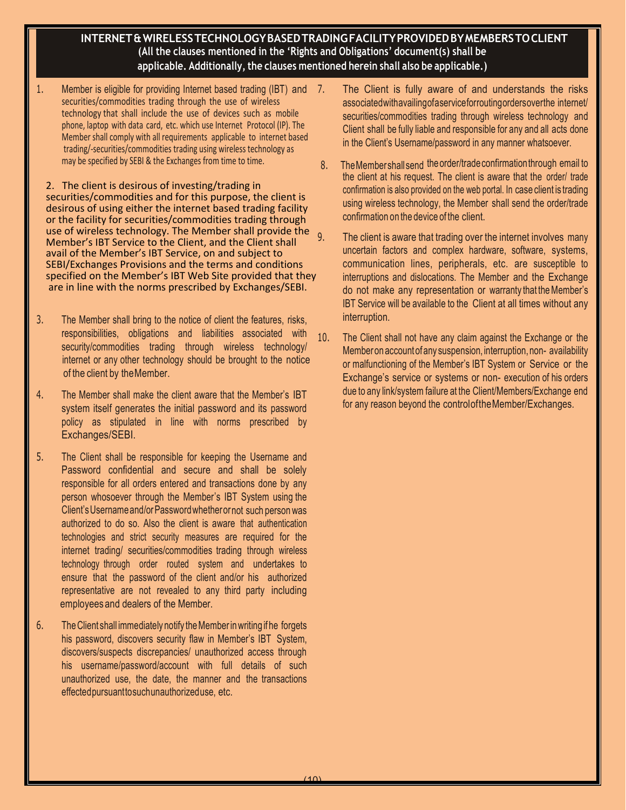# **INTERNET & WIRELESS TECHNOLOGY BASED TRADING FACILITY PROVIDED BY MEMBERS TO CLIENT (All the clauses mentioned in the 'Rights and Obligations' document(s) shall be applicable. Additionally, the clauses mentioned herein shall also be applicable.)**

1. Member is eligible for providing Internet based trading (IBT) and 7. securities/commodities trading through the use of wireless technology that shall include the use of devices such as mobile phone, laptop with data card, etc. which use Internet Protocol (IP). The Member shall comply with all requirements applicable to internet based trading/-securities/commodities trading using wireless technology as may be specified by SEBI & the Exchanges from time to time.

2. The client is desirous of investing/trading in securities/commodities and for this purpose, the client is desirous of using either the internet based trading facility or the facility for securities/commodities trading through use of wireless technology. The Member shall provide the Member's IBT Service to the Client, and the Client shall avail of the Member's IBT Service, on and subject to SEBI/Exchanges Provisions and the terms and conditions specified on the Member's IBT Web Site provided that they are in line with the norms prescribed by Exchanges/SEBI.

- 3. The Member shall bring to the notice of client the features, risks, responsibilities, obligations and liabilities associated with security/commodities trading through wireless technology/ internet or any other technology should be brought to the notice of the client by the Member.
- 4. The Member shall make the client aware that the Member's IBT system itself generates the initial password and its password policy as stipulated in line with norms prescribed by Exchanges/SEBI.
- 5. The Client shall be responsible for keeping the Username and Password confidential and secure and shall be solely responsible for all orders entered and transactions done by any person whosoever through the Member's IBT System using the Client's Username and/or Password whether or not such person was authorized to do so. Also the client is aware that authentication technologies and strict security measures are required for the internet trading/ securities/commodities trading through wireless technology through order routed system and undertakes to ensure that the password of the client and/or his authorized representative are not revealed to any third party including employees and dealers of the Member.
- 6. The Client shall immediately notify the Member in writing if he forgets his password, discovers security flaw in Member's IBT System, discovers/suspects discrepancies/ unauthorized access through his username/password/account with full details of such unauthorized use, the date, the manner and the transactions effected pursuant to such unauthorized use, etc.
- The Client is fully aware of and understands the risks associated with availing of a service for routing orders over the internet/ securities/commodities trading through wireless technology and Client shall be fully liable and responsible for any and all acts done in the Client's Username/password in any manner whatsoever.
- 8. The Member shall send the order/trade confirmation through email to the client at his request. The client is aware that the order/ trade confirmation is also provided on the web portal. In case client is trading using wireless technology, the Member shall send the order/trade confirmation on the device of the client.
- The client is aware that trading over the internet involves many uncertain factors and complex hardware, software, systems, communication lines, peripherals, etc. are susceptible to interruptions and dislocations. The Member and the Exchange do not make any representation or warranty that the Member's IBT Service will be available to the Client at all times without any interruption.
- 10. The Client shall not have any claim against the Exchange or the Member on account of any suspension, interruption, non- availability or malfunctioning of the Member's IBT System or Service or the Exchange's service or systems or non- execution of his orders due to any link/system failure at the Client/Members/Exchange end for any reason beyond the control of the Member/Exchanges.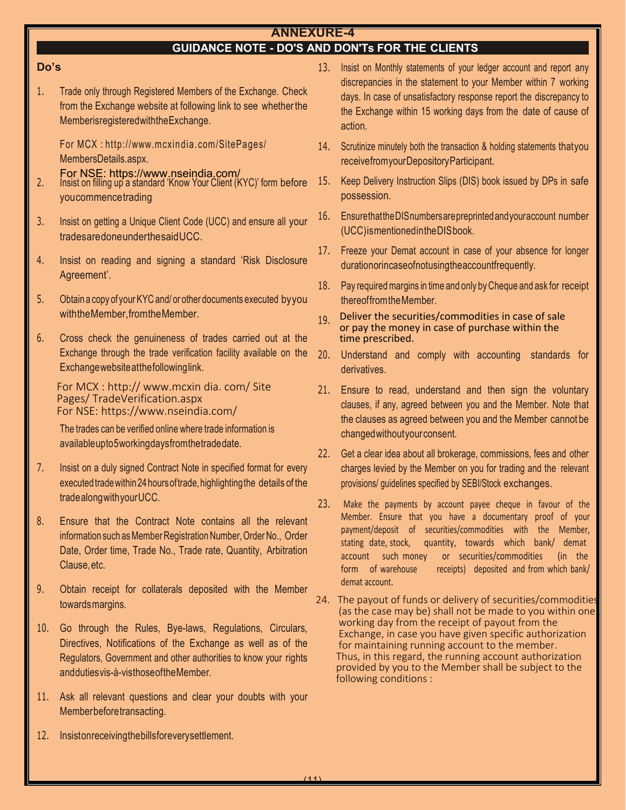# **ANNEXURE-4**

# **GUIDANCE NOTE - DO'S AND DON'Ts FOR THE CLIENTS**

# **Do's**

1. Trade only through Registered Members of the Exchange. Check from the Exchange website at following link to see whether the Member is registered with the Exchange.

For MCX : [http:// www. mcxindia. com/ Site](http://www.mcxindia.com/SitePages/)  Pages/ MembersDetails.aspx.

- 2. Insist on filling up a standard 'Know Your Client (KYC)' form before you commence trading For NSE: https://www.nseindia.com/
- 3. Insist on getting a Unique Client Code (UCC) and ensure all your trades are done under the said UCC.
- 4. Insist on reading and signing a standard 'Risk Disclosure Agreement' .
- 5. Obtain a copy of your KYC and/ or other documents executed by you with the Member, from the Member.
- 6. Cross check the genuineness of trades carried out at the Exchange through the trade verification facility available on the Exchange website at the following link.

For MCX [: http:// www.mcxin dia. com/ Site](http://www.mcxindia.com/SitePages/) Pages/ TradeVerification.aspx For NSE: https://www.nseindia.com/

The trades can be verified online where trade information is available upto 5 working days from the trade date.

- 7. Insist on a duly signed Contract Note in specified format for every executed trade within 24 hours of trade, highlighting the details of the trade along with your UCC.
- 8. Ensure that the Contract Note contains all the relevant information such as Member Registration Number, Order No., Order Date, Order time, Trade No., Trade rate, Quantity, Arbitration Clause, etc.
- 9. Obtain receipt for collaterals deposited with the Member towards margins.
- 10. Go through the Rules, Bye-laws, Regulations, Circulars, Directives, Notifications of the Exchange as well as of the Regulators, Government and other authorities to know your rights and duties vis-à-vis those ofthe Member.
- 11. Ask all relevant questions and clear your doubts with your Member before transacting.
- 12. Insiston receiving the bills for every settlement.
- 13. Insist on Monthly statements of your ledger account and report any discrepancies in the statement to your Member within 7 working days. In case of unsatisfactory response report the discrepancy to the Exchange within 15 working days from the date of cause of action.
- 14. Scrutinize minutely both the transaction & holding statements that you receive from your Depository Participant.
- 15. Keep Delivery Instruction Slips (DIS) book issued by DPs in safe possession.
- 16. Ensure that the DIS numbers are preprinted and your account number (UCC) is mentioned in the DIS book.
- 17. Freeze your Demat account in case of your absence for longer duration or incase of not using the account frequently.
- thereof from the Member. 18. Pay required margins in time and only by Cheque and ask for receipt
- 19. Deliver the securities/commodities in case of sale or pay the money in case of purchase within the time prescribed.
- 20. Understand and comply with accounting standards for derivatives.
- 21. Ensure to read, understand and then sign the voluntary clauses, if any, agreed between you and the Member. Note that the clauses as agreed between you and the Member cannot be changed without your consent.
- 22. Get a clear idea about all brokerage, commissions, fees and other charges levied by the Member on you for trading and the relevant provisions/ guidelines specified by SEBI/Stock exchanges.
- 23. Make the payments by account payee cheque in favour of the Member. Ensure that you have a documentary proof of your payment/deposit of securities/commodities with the Member, stating date, stock, quantity, towards which bank/ demat account such money or securities/commodities (in the form of warehouse receipts) deposited and from which bank/ demat account.
- 24. The payout of funds or delivery of securities/commodities (as the case may be) shall not be made to you within one working day from the receipt of payout from the Exchange, in case you have given specific authorization for maintaining running account to the member. Thus, in this regard, the running account authorization provided by you to the Member shall be subject to the following conditions :